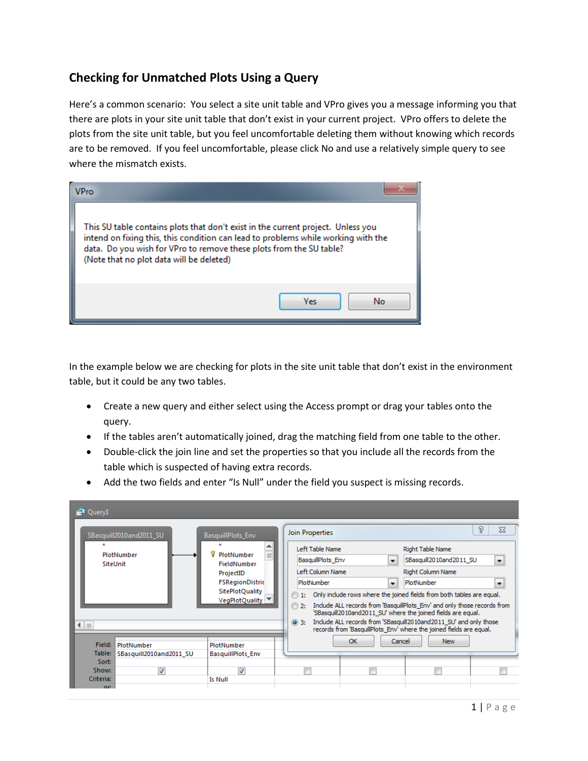## **Checking for Unmatched Plots Using a Query**

Here's a common scenario: You select a site unit table and VPro gives you a message informing you that there are plots in your site unit table that don't exist in your current project. VPro offers to delete the plots from the site unit table, but you feel uncomfortable deleting them without knowing which records are to be removed. If you feel uncomfortable, please click No and use a relatively simple query to see where the mismatch exists.

| <b>VPro</b>                                                                                                                                                                                                                                                                              |    |
|------------------------------------------------------------------------------------------------------------------------------------------------------------------------------------------------------------------------------------------------------------------------------------------|----|
| This SU table contains plots that don't exist in the current project. Unless you<br>intend on fixing this, this condition can lead to problems while working with the<br>data. Do you wish for VPro to remove these plots from the SU table?<br>(Note that no plot data will be deleted) |    |
| Yes                                                                                                                                                                                                                                                                                      | Nο |

In the example below we are checking for plots in the site unit table that don't exist in the environment table, but it could be any two tables.

- Create a new query and either select using the Access prompt or drag your tables onto the query.
- If the tables aren't automatically joined, drag the matching field from one table to the other.
- Double-click the join line and set the properties so that you include all the records from the table which is suspected of having extra records.
- Add the two fields and enter "Is Null" under the field you suspect is missing records.

| <sub>R</sub> <sup>1</sup> Query1                                                                                                                                                                                                   |                                            |                                                                       |                                                                                                                                                                                                                                                                                                                                                                                                                                                                                                                                                                                                                                                                       |  |  |
|------------------------------------------------------------------------------------------------------------------------------------------------------------------------------------------------------------------------------------|--------------------------------------------|-----------------------------------------------------------------------|-----------------------------------------------------------------------------------------------------------------------------------------------------------------------------------------------------------------------------------------------------------------------------------------------------------------------------------------------------------------------------------------------------------------------------------------------------------------------------------------------------------------------------------------------------------------------------------------------------------------------------------------------------------------------|--|--|
| SBasquill2010and2011 SU<br>BasquillPlots_Env<br>∸<br>PlotNumber<br>PlotNumber<br>$\equiv$<br>SiteUnit<br><b>FieldNumber</b><br>ProjectID<br><b>FSRegionDistric</b><br><b>SitePlotQuality</b><br>VegPlotQuality ▼<br>$\blacksquare$ |                                            |                                                                       | P<br>$\Sigma$<br>Join Properties<br>Left Table Name<br>Right Table Name<br>SBasquill2010and2011_SU<br><b>BasquillPlots Env</b><br>$\overline{\phantom{a}}$<br>×.<br>Left Column Name<br>Right Column Name<br>PlotNumber<br>PlotNumber<br><b>v</b><br>▼<br>Only include rows where the joined fields from both tables are equal.<br>⊙<br>1:<br>Include ALL records from 'BasquillPlots Env' and only those records from<br>$\odot$ 2:<br>'SBasquill2010and2011_SU' where the joined fields are equal.<br>Include ALL records from 'SBasquill2010and2011 SU' and only those<br>$\circledcirc$ 3:<br>records from 'BasquillPlots Env' where the joined fields are equal. |  |  |
| Field:<br>Table:<br>Sort:<br>Show:<br>Criteria:                                                                                                                                                                                    | PlotNumber<br>SBasquill2010and2011 SU<br>V | PlotNumber<br>BasquillPlots Env<br>$\overline{\mathbf{v}}$<br>Is Null | OK<br>Cancel<br><b>New</b>                                                                                                                                                                                                                                                                                                                                                                                                                                                                                                                                                                                                                                            |  |  |